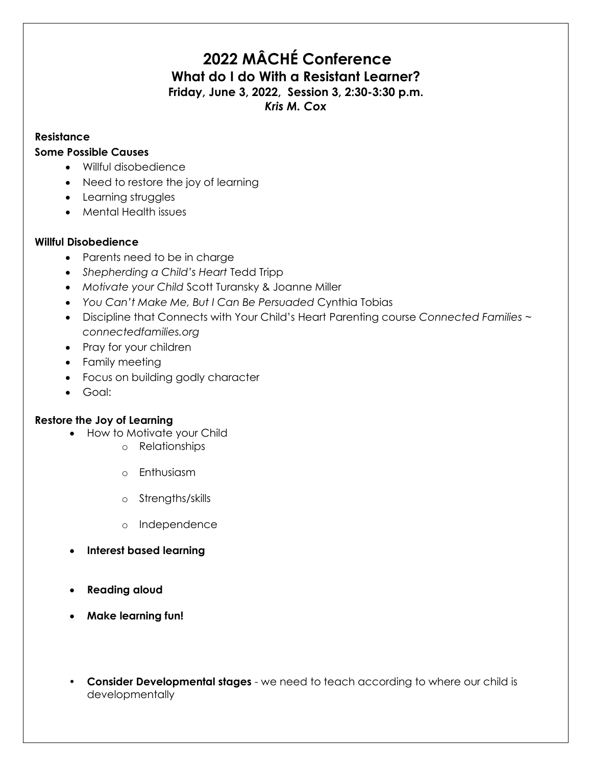# **2022 MÂCHÉ Conference What do I do With a Resistant Learner? Friday, June 3, 2022, Session 3, 2:30-3:30 p.m.**

## *Kris M. Cox*

#### **Resistance**

#### **Some Possible Causes**

- Willful disobedience
- Need to restore the joy of learning
- Learning struggles
- Mental Health issues

### **Willful Disobedience**

- Parents need to be in charge
- *Shepherding a Child's Heart* Tedd Tripp
- *Motivate your Child* Scott Turansky & Joanne Miller
- *You Can't Make Me, But I Can Be Persuaded* Cynthia Tobias
- Discipline that Connects with Your Child's Heart Parenting course *Connected Families ~ connectedfamilies.org*
- Pray for your children
- Family meeting
- Focus on building godly character
- Goal:

### **Restore the Joy of Learning**

- How to Motivate your Child
	- o Relationships
	- o Enthusiasm
	- o Strengths/skills
	- o Independence
- **Interest based learning**
- **Reading aloud**
- **Make learning fun!**
- **Consider Developmental stages** we need to teach according to where our child is developmentally